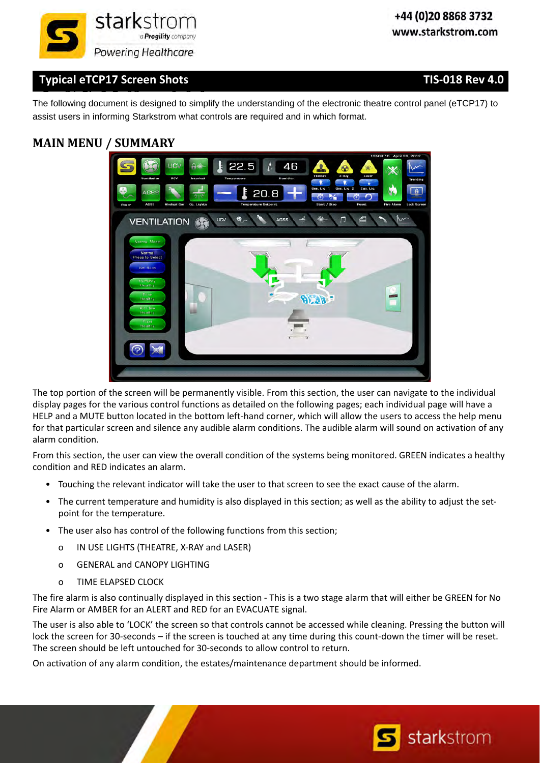

**S Sh t S** CA C 1 SC S O S The following document is designed to simplify the understanding of the electronic theatre control panel (eTCP17) to assist users in informing Starkstrom what controls are required and in which format.

## **MAIN MENU / SUMMARY**



The top portion of the screen will be permanently visible. From this section, the user can navigate to the individual display pages for the various control functions as detailed on the following pages; each individual page will have a HELP and a MUTE button located in the bottom left-hand corner, which will allow the users to access the help menu for that particular screen and silence any audible alarm conditions. The audible alarm will sound on activation of any alarm condition.

From this section, the user can view the overall condition of the systems being monitored. GREEN indicates a healthy condition and RED indicates an alarm.

- Touching the relevant indicator will take the user to that screen to see the exact cause of the alarm.
- The current temperature and humidity is also displayed in this section; as well as the ability to adjust the setpoint for the temperature.
- The user also has control of the following functions from this section;
	- o IN USE LIGHTS (THEATRE, X‐RAY and LASER)
	- o GENERAL and CANOPY LIGHTING
	- o TIME ELAPSED CLOCK

The fire alarm is also continually displayed in this section ‐ This is a two stage alarm that will either be GREEN for No Fire Alarm or AMBER for an ALERT and RED for an EVACUATE signal.

The user is also able to 'LOCK' the screen so that controls cannot be accessed while cleaning. Pressing the button will lock the screen for 30-seconds – if the screen is touched at any time during this count-down the timer will be reset. The screen should be left untouched for 30‐seconds to allow control to return.

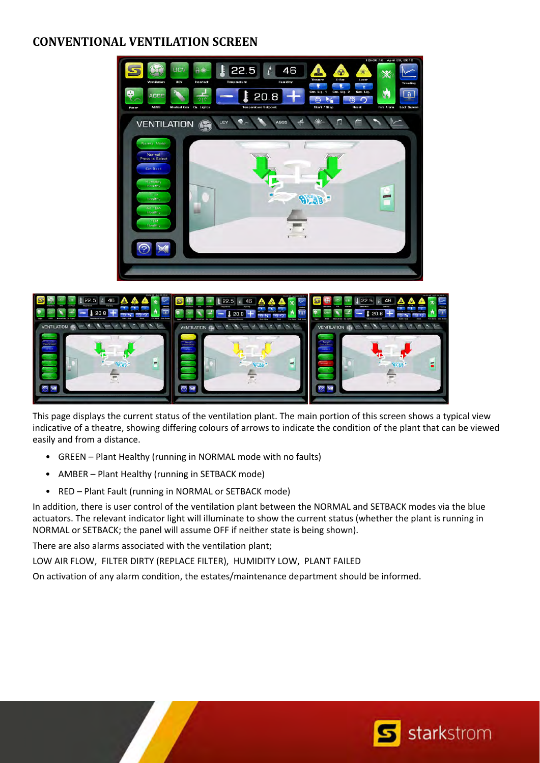## **CONVENTIONAL VENTILATION SCREEN**





This page displays the current status of the ventilation plant. The main portion of this screen shows a typical view indicative of a theatre, showing differing colours of arrows to indicate the condition of the plant that can be viewed easily and from a distance.

- GREEN Plant Healthy (running in NORMAL mode with no faults)
- AMBER Plant Healthy (running in SETBACK mode)
- RED Plant Fault (running in NORMAL or SETBACK mode)

In addition, there is user control of the ventilation plant between the NORMAL and SETBACK modes via the blue actuators. The relevant indicator light will illuminate to show the current status (whether the plant is running in NORMAL or SETBACK; the panel will assume OFF if neither state is being shown).

There are also alarms associated with the ventilation plant;

LOW AIR FLOW, FILTER DIRTY (REPLACE FILTER), HUMIDITY LOW, PLANT FAILED

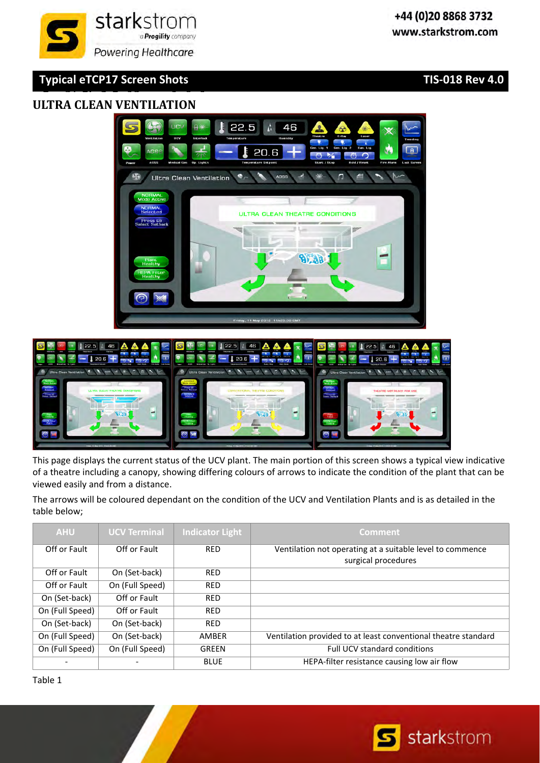#### **S Sh t S** CA C 1 SC S O S **ULTRA CLEAN VENTILATION**



22.5

Ultra Clean Ventilation **e** Asses

A

 $20.6$ 

46

 $\Box$ 

This page displays the current status of the UCV plant. The main portion of this screen shows a typical view indicative of a theatre including a canopy, showing differing colours of arrows to indicate the condition of the plant that can be viewed easily and from a distance.

The arrows will be coloured dependant on the condition of the UCV and Ventilation Plants and is as detailed in the table below;

| <b>AHU</b>      | <b>UCV Terminal</b> | <b>Indicator Light</b> | <b>Comment</b>                                                                   |
|-----------------|---------------------|------------------------|----------------------------------------------------------------------------------|
| Off or Fault    | Off or Fault        | <b>RED</b>             | Ventilation not operating at a suitable level to commence<br>surgical procedures |
| Off or Fault    | On (Set-back)       | <b>RED</b>             |                                                                                  |
| Off or Fault    | On (Full Speed)     | <b>RED</b>             |                                                                                  |
| On (Set-back)   | Off or Fault        | <b>RED</b>             |                                                                                  |
| On (Full Speed) | Off or Fault        | <b>RED</b>             |                                                                                  |
| On (Set-back)   | On (Set-back)       | <b>RED</b>             |                                                                                  |
| On (Full Speed) | On (Set-back)       | AMBER                  | Ventilation provided to at least conventional theatre standard                   |
| On (Full Speed) | On (Full Speed)     | <b>GREEN</b>           | <b>Full UCV standard conditions</b>                                              |
|                 |                     | <b>BLUE</b>            | HEPA-filter resistance causing low air flow                                      |

Table 1



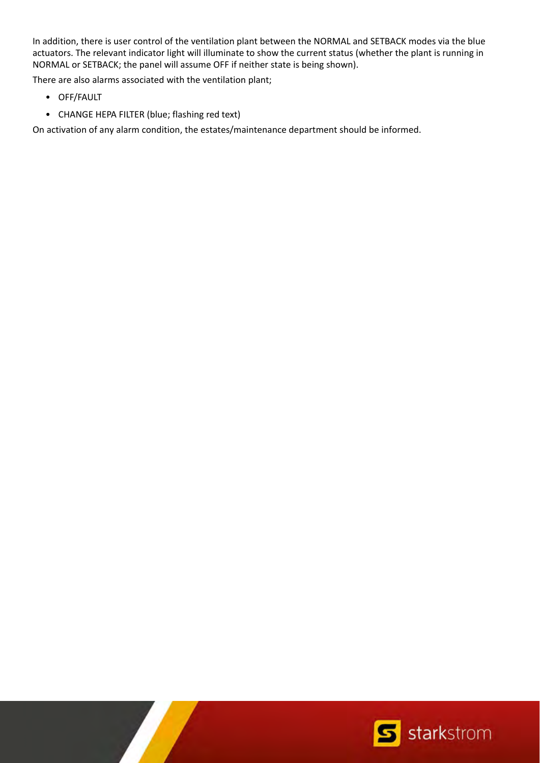In addition, there is user control of the ventilation plant between the NORMAL and SETBACK modes via the blue actuators. The relevant indicator light will illuminate to show the current status (whether the plant is running in NORMAL or SETBACK; the panel will assume OFF if neither state is being shown).

There are also alarms associated with the ventilation plant;

- OFF/FAULT
- CHANGE HEPA FILTER (blue; flashing red text)

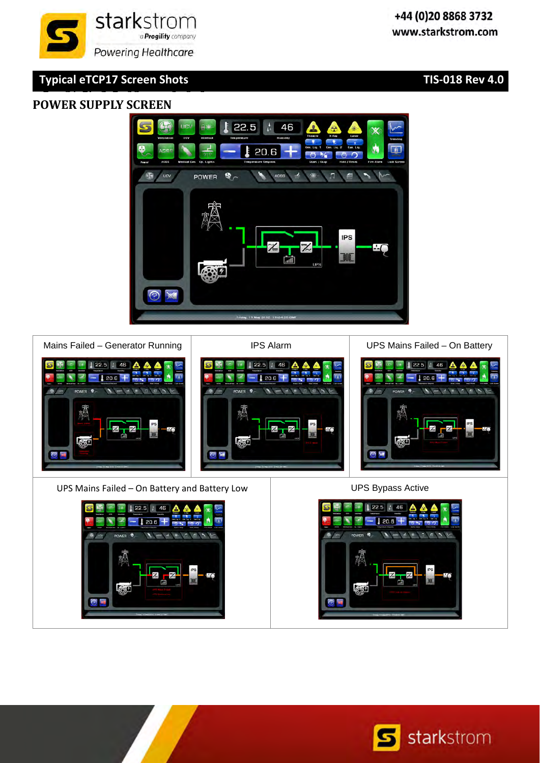#### **S Sh t S** CA C 1 SC S O S **POWER SUPPLY SCREEN**







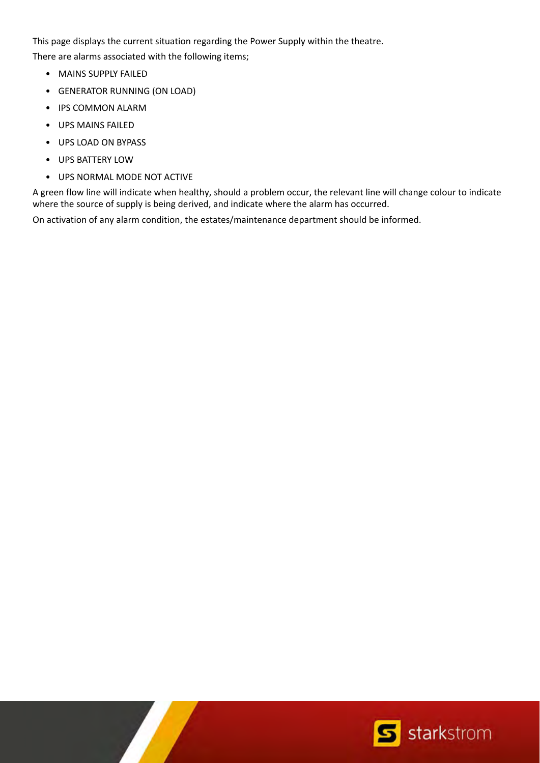This page displays the current situation regarding the Power Supply within the theatre.

There are alarms associated with the following items;

- MAINS SUPPLY FAILED
- GENERATOR RUNNING (ON LOAD)
- IPS COMMON ALARM
- UPS MAINS FAILED
- UPS LOAD ON BYPASS
- UPS BATTERY LOW
- UPS NORMAL MODE NOT ACTIVE

A green flow line will indicate when healthy, should a problem occur, the relevant line will change colour to indicate where the source of supply is being derived, and indicate where the alarm has occurred.

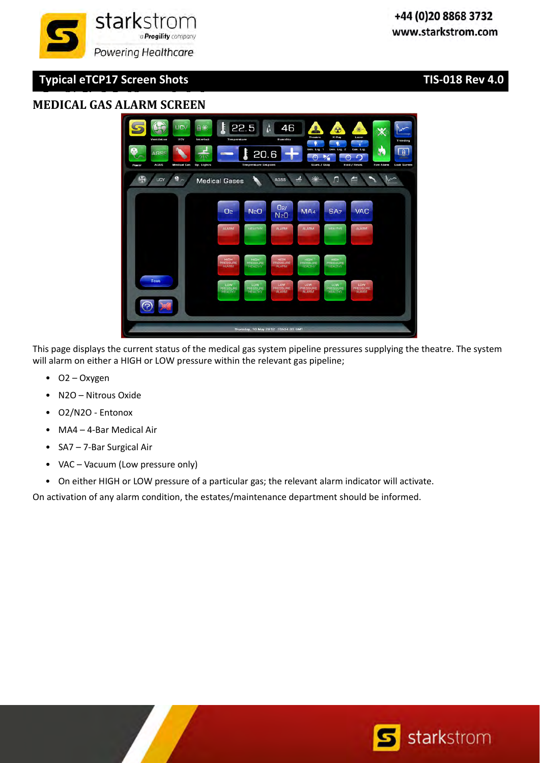

#### **S Sh t S** CA C 1 SC S O S **MEDICAL GAS ALARM SCREEN**



This page displays the current status of the medical gas system pipeline pressures supplying the theatre. The system will alarm on either a HIGH or LOW pressure within the relevant gas pipeline;

- O2 Oxygen
- N2O Nitrous Oxide
- O2/N2O ‐ Entonox
- MA4 4‐Bar Medical Air
- SA7 7‐Bar Surgical Air
- VAC Vacuum (Low pressure only)
- On either HIGH or LOW pressure of a particular gas; the relevant alarm indicator will activate.

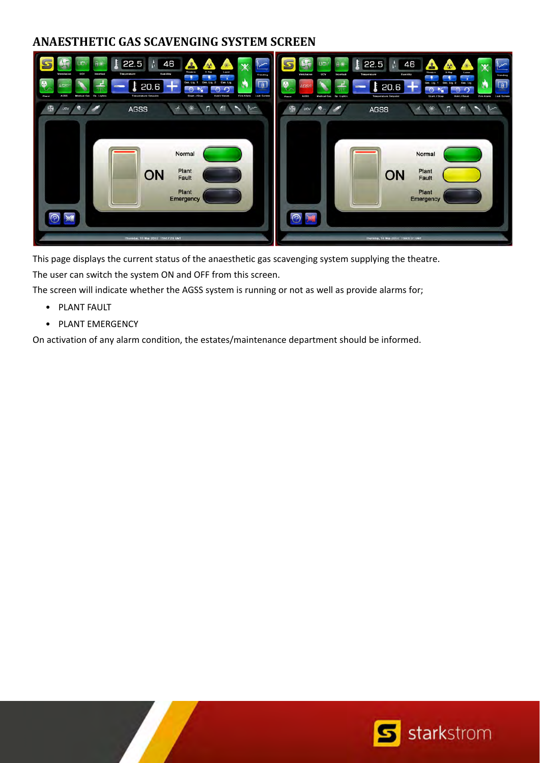## **ANAESTHETIC GAS SCAVENGING SYSTEM SCREEN**



This page displays the current status of the anaesthetic gas scavenging system supplying the theatre.

The user can switch the system ON and OFF from this screen.

The screen will indicate whether the AGSS system is running or not as well as provide alarms for;

- PLANT FAULT
- PLANT EMERGENCY

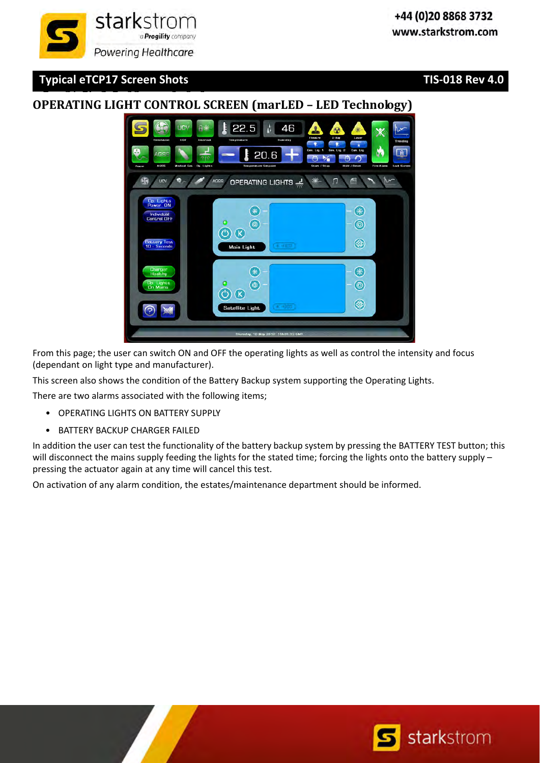#### **S Sh t S** CA C 1 SC S O S **OPERATING LIGHT CONTROL SCREEN (marLED – LED Technology)**

 $22.5$ 

46

 $20.6$ OPERATING LIGHTS  $\Box$ 昌  $(\ast)$ (₩  $\frac{10000}{1000}$  $\circledcirc$  $\circledcirc$  $\circledcirc$   $\circledcirc$  $\circledcirc$ Main Light  $(\ast)$ €  $\circledcirc$  $\circledcirc$  $\textcircled{c}$   $\textcircled{r}$  $\circledast$ Satellite Light v. 10 May 2012 15h05.33

From this page; the user can switch ON and OFF the operating lights as well as control the intensity and focus (dependant on light type and manufacturer).

This screen also shows the condition of the Battery Backup system supporting the Operating Lights.

There are two alarms associated with the following items;

- OPERATING LIGHTS ON BATTERY SUPPLY
- BATTERY BACKUP CHARGER FAILED

In addition the user can test the functionality of the battery backup system by pressing the BATTERY TEST button; this will disconnect the mains supply feeding the lights for the stated time; forcing the lights onto the battery supply – pressing the actuator again at any time will cancel this test.



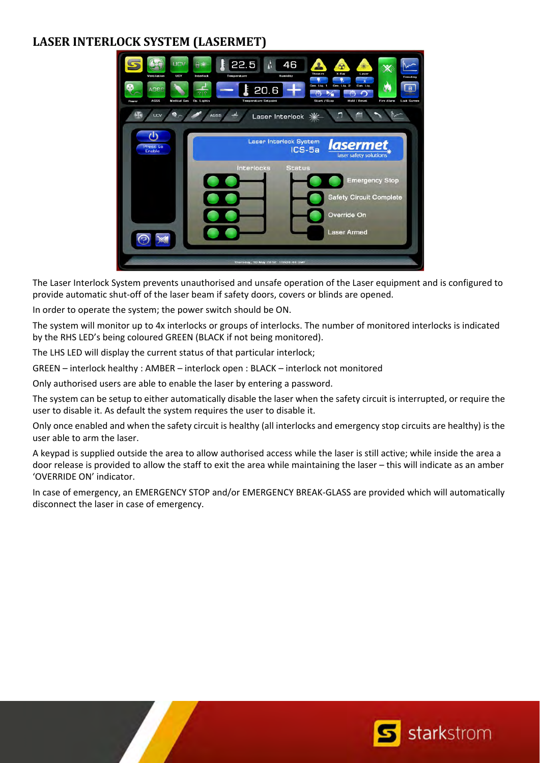## **LASER INTERLOCK SYSTEM (LASERMET)**

![](_page_9_Picture_1.jpeg)

The Laser Interlock System prevents unauthorised and unsafe operation of the Laser equipment and is configured to provide automatic shut‐off of the laser beam if safety doors, covers or blinds are opened.

In order to operate the system; the power switch should be ON.

The system will monitor up to 4x interlocks or groups of interlocks. The number of monitored interlocks is indicated by the RHS LED's being coloured GREEN (BLACK if not being monitored).

The LHS LED will display the current status of that particular interlock;

GREEN – interlock healthy : AMBER – interlock open : BLACK – interlock not monitored

Only authorised users are able to enable the laser by entering a password.

The system can be setup to either automatically disable the laser when the safety circuit is interrupted, or require the user to disable it. As default the system requires the user to disable it.

Only once enabled and when the safety circuit is healthy (all interlocks and emergency stop circuits are healthy) is the user able to arm the laser.

A keypad is supplied outside the area to allow authorised access while the laser is still active; while inside the area a door release is provided to allow the staff to exit the area while maintaining the laser – this will indicate as an amber 'OVERRIDE ON' indicator.

In case of emergency, an EMERGENCY STOP and/or EMERGENCY BREAK‐GLASS are provided which will automatically disconnect the laser in case of emergency.

![](_page_9_Picture_12.jpeg)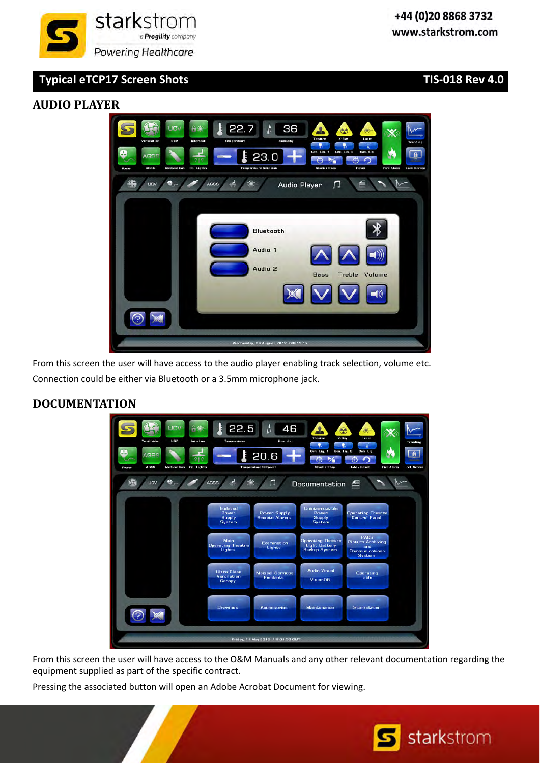![](_page_10_Picture_0.jpeg)

#### **S Sh t S** CA C 1 SC S O S **AUDIO PLAYER**

![](_page_10_Picture_5.jpeg)

From this screen the user will have access to the audio player enabling track selection, volume etc. Connection could be either via Bluetooth or a 3.5mm microphone jack.

### **DOCUMENTATION**

![](_page_10_Figure_8.jpeg)

From this screen the user will have access to the O&M Manuals and any other relevant documentation regarding the equipment supplied as part of the specific contract.

Pressing the associated button will open an Adobe Acrobat Document for viewing.

![](_page_10_Picture_11.jpeg)